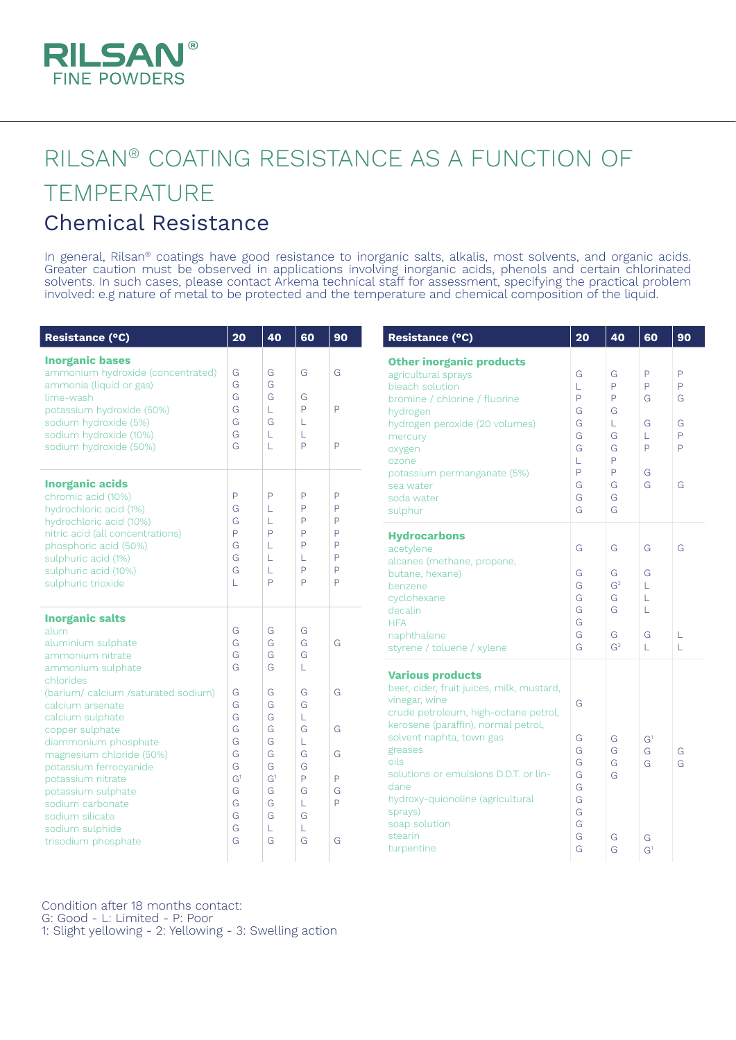

## RILSAN® COATING RESISTANCE AS A FUNCTION OF TEMPERATURE Chemical Resistance

In general, Rilsan® coatings have good resistance to inorganic salts, alkalis, most solvents, and organic acids. Greater caution must be observed in applications involving inorganic acids, phenols and certain chlorinated solvents. In such cases, please contact Arkema technical staff for assessment, specifying the practical problem involved: e.g nature of metal to be protected and the temperature and chemical composition of the liquid.

| Resistance (°C)                                                                                                                                                                                                                                                                                                                                                                                                                                                                                                                                                                                                                                                                                                                                       | 20                                                                                                                                                                                                                                                                                                                                                            | 40                                                                                                          | 60                         | 90                                                                 | Resistance (°C)                                                                                                                                                                        | 20                                                                                                   | 40               | 60                               | 90                                                          |
|-------------------------------------------------------------------------------------------------------------------------------------------------------------------------------------------------------------------------------------------------------------------------------------------------------------------------------------------------------------------------------------------------------------------------------------------------------------------------------------------------------------------------------------------------------------------------------------------------------------------------------------------------------------------------------------------------------------------------------------------------------|---------------------------------------------------------------------------------------------------------------------------------------------------------------------------------------------------------------------------------------------------------------------------------------------------------------------------------------------------------------|-------------------------------------------------------------------------------------------------------------|----------------------------|--------------------------------------------------------------------|----------------------------------------------------------------------------------------------------------------------------------------------------------------------------------------|------------------------------------------------------------------------------------------------------|------------------|----------------------------------|-------------------------------------------------------------|
| <b>Inorganic bases</b><br>ammonium hydroxide (concentrated)<br>ammonia (liquid or gas)<br>lime-wash<br>potassium hydroxide (50%)<br>sodium hydroxide (5%)<br>sodium hydroxide (10%)<br>sodium hydroxide (50%)                                                                                                                                                                                                                                                                                                                                                                                                                                                                                                                                         | G<br>G<br>G<br>G<br>G<br>G<br>G                                                                                                                                                                                                                                                                                                                               | G<br>G<br>G<br>L<br>G<br>L<br>L                                                                             | G<br>G<br>P<br>L<br>L<br>P | G<br>P<br>P                                                        | <b>Other inorganic products</b><br>agricultural sprays<br>bleach solution<br>bromine / chlorine / fluorine<br>hydrogen<br>hydrogen peroxide (20 volumes)<br>mercury<br>oxygen<br>ozone | G<br>G<br>P<br>L<br>$\overline{P}$<br>$\mathsf{P}$<br>G<br>G<br>G<br>L<br>G<br>G<br>G<br>G<br>P<br>L |                  | $\mathsf{P}$<br>P<br>G<br>G<br>P | $\mathsf{P}$<br>P<br>G<br>G<br>$\mathsf{P}$<br>$\mathsf{D}$ |
| <b>Inorganic acids</b><br>chromic acid (10%)<br>hydrochloric acid (1%)<br>hydrochloric acid (10%)                                                                                                                                                                                                                                                                                                                                                                                                                                                                                                                                                                                                                                                     | P<br>G<br>G                                                                                                                                                                                                                                                                                                                                                   | P<br>L<br>L                                                                                                 | P<br>P<br>P                | P<br>P<br>P                                                        | potassium permanganate (5%)<br>sea water<br>soda water<br>sulphur                                                                                                                      | P<br>G<br>G<br>G                                                                                     | P<br>G<br>G<br>G | G<br>G                           | G                                                           |
| nitric acid (all concentrations)<br>phosphoric acid (50%)<br>sulphuric acid (1%)<br>sulphuric acid (10%)<br>sulphuric trioxide                                                                                                                                                                                                                                                                                                                                                                                                                                                                                                                                                                                                                        | P<br>P<br>P<br>P<br>G<br>P<br>P<br>L<br>G<br>L<br>P<br>L<br>G<br>P<br>P<br>L<br>Þ<br>P<br>L<br>Þ                                                                                                                                                                                                                                                              | <b>Hydrocarbons</b><br>acetylene<br>alcanes (methane, propane,<br>butane, hexane)<br>benzene<br>cyclohexane | G<br>G<br>G<br>G           | G<br>G<br>G <sup>2</sup><br>G                                      | G<br>G<br>L<br>L                                                                                                                                                                       | G                                                                                                    |                  |                                  |                                                             |
| <b>Inorganic salts</b><br>alum<br>G<br>G<br>G<br>G<br>G<br>G<br>aluminium sulphate<br>G<br>G<br>G<br>G<br>ammonium nitrate<br>G<br>G<br>ammonium sulphate<br>L<br>chlorides<br>G<br>G<br>G<br>G<br>(barium/calcium/saturated sodium)<br>G<br>G<br>G<br>calcium arsenate<br>G<br>G<br>calcium sulphate<br>L<br>G<br>G<br>G<br>G<br>copper sulphate<br>G<br>G<br>diammonium phosphate<br>L<br>G<br>magnesium chloride (50%)<br>G<br>G<br>G<br>G<br>G<br>G<br>potassium ferrocyanide<br>G <sup>1</sup><br>P<br>G <sup>1</sup><br>P<br>potassium nitrate<br>G<br>G<br>G<br>G<br>potassium sulphate<br>Þ<br>G<br>G<br>sodium carbonate<br>L<br>G<br>G<br>G<br>sodium silicate<br>G<br>L<br>sodium sulphide<br>L<br>G<br>trisodium phosphate<br>G<br>G<br>G |                                                                                                                                                                                                                                                                                                                                                               |                                                                                                             |                            | decalin<br><b>HFA</b><br>naphthalene<br>styrene / toluene / xylene | G<br>G<br>G<br>G                                                                                                                                                                       | G<br>G<br>G <sup>3</sup>                                                                             | L<br>G<br>T.     | L<br>L                           |                                                             |
|                                                                                                                                                                                                                                                                                                                                                                                                                                                                                                                                                                                                                                                                                                                                                       | <b>Various products</b><br>beer, cider, fruit juices, milk, mustard,<br>vinegar, wine<br>crude petroleum, high-octane petrol,<br>kerosene (paraffin), normal petrol,<br>solvent naphta, town gas<br>greases<br>oils<br>solutions or emulsions D.D.T. or lin-<br>dane<br>hydroxy-quionoline (agricultural<br>sprays)<br>soap solution<br>stearin<br>turpentine | G<br>G<br>G<br>G<br>G<br>G<br>G<br>G<br>G<br>G<br>G                                                         | G<br>G<br>G<br>G<br>G<br>G | G <sup>1</sup><br>G<br>G<br>G<br>G <sup>1</sup>                    | G<br>G                                                                                                                                                                                 |                                                                                                      |                  |                                  |                                                             |